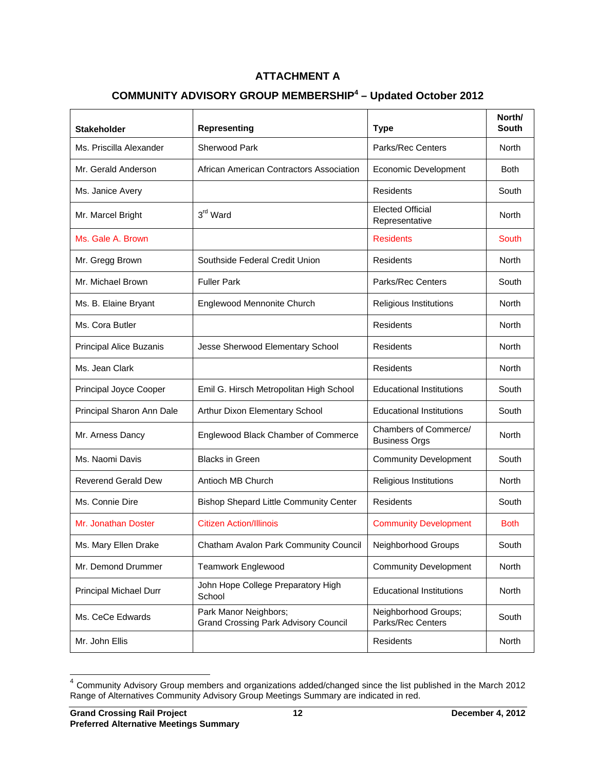## **ATTACHMENT A**

## **COMMUNITY ADVISORY GROUP MEMBERSHIP<sup>4</sup> – Updated October 2012**

| <b>Stakeholder</b>         | <b>Representing</b>                                                  | <b>Type</b>                                   | North/<br><b>South</b> |
|----------------------------|----------------------------------------------------------------------|-----------------------------------------------|------------------------|
| Ms. Priscilla Alexander    | <b>Sherwood Park</b>                                                 | <b>Parks/Rec Centers</b>                      | <b>North</b>           |
| Mr. Gerald Anderson        | African American Contractors Association                             | <b>Economic Development</b>                   | <b>Both</b>            |
| Ms. Janice Avery           |                                                                      | Residents                                     | South                  |
| Mr. Marcel Bright          | 3rd Ward                                                             | <b>Elected Official</b><br>Representative     | North                  |
| Ms. Gale A. Brown          |                                                                      | <b>Residents</b>                              | South                  |
| Mr. Gregg Brown            | Southside Federal Credit Union                                       | <b>Residents</b>                              | North                  |
| Mr. Michael Brown          | <b>Fuller Park</b>                                                   | <b>Parks/Rec Centers</b>                      | South                  |
| Ms. B. Elaine Bryant       | Englewood Mennonite Church                                           | Religious Institutions                        | North                  |
| Ms. Cora Butler            |                                                                      | Residents                                     | North                  |
| Principal Alice Buzanis    | Jesse Sherwood Elementary School                                     | Residents                                     | North                  |
| Ms. Jean Clark             |                                                                      | Residents                                     | North                  |
| Principal Joyce Cooper     | Emil G. Hirsch Metropolitan High School                              | <b>Educational Institutions</b>               | South                  |
| Principal Sharon Ann Dale  | Arthur Dixon Elementary School                                       | <b>Educational Institutions</b>               | South                  |
| Mr. Arness Dancy           | Englewood Black Chamber of Commerce                                  | Chambers of Commerce/<br><b>Business Orgs</b> | North                  |
| Ms. Naomi Davis            | <b>Blacks in Green</b>                                               | <b>Community Development</b>                  | South                  |
| <b>Reverend Gerald Dew</b> | Antioch MB Church                                                    | Religious Institutions                        | North                  |
| Ms. Connie Dire            | <b>Bishop Shepard Little Community Center</b>                        | Residents                                     | South                  |
| Mr. Jonathan Doster        | <b>Citizen Action/Illinois</b>                                       | <b>Community Development</b>                  | Both                   |
| Ms. Mary Ellen Drake       | Chatham Avalon Park Community Council                                | Neighborhood Groups                           | South                  |
| Mr. Demond Drummer         | Teamwork Englewood                                                   | <b>Community Development</b>                  | North                  |
| Principal Michael Durr     | John Hope College Preparatory High<br>School                         | <b>Educational Institutions</b>               | North                  |
| Ms. CeCe Edwards           | Park Manor Neighbors;<br><b>Grand Crossing Park Advisory Council</b> | Neighborhood Groups;<br>Parks/Rec Centers     | South                  |
| Mr. John Ellis             |                                                                      | Residents                                     | <b>North</b>           |

 $4$  Community Advisory Group members and organizations added/changed since the list published in the March 2012 Range of Alternatives Community Advisory Group Meetings Summary are indicated in red.

 $\overline{\phantom{a}}$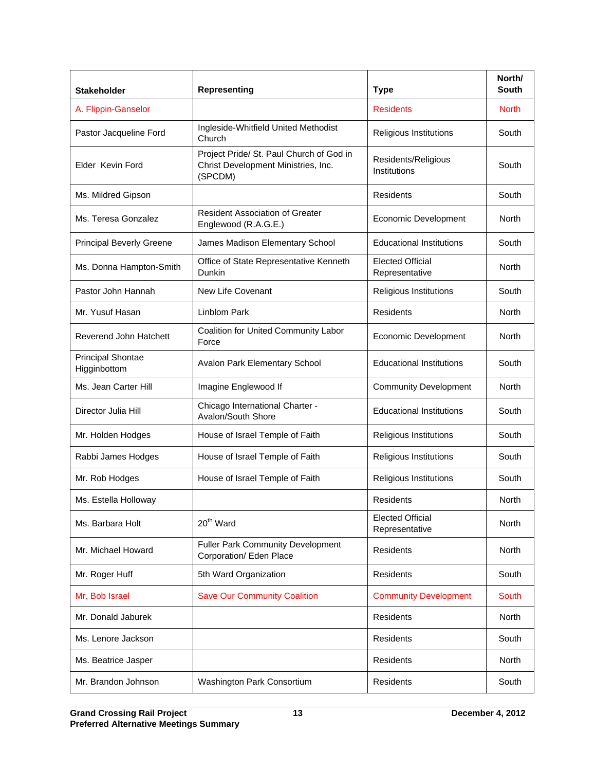| <b>Stakeholder</b>                       | <b>Representing</b>                                                                        | <b>Type</b>                               | North/<br><b>South</b> |
|------------------------------------------|--------------------------------------------------------------------------------------------|-------------------------------------------|------------------------|
| A. Flippin-Ganselor                      |                                                                                            | <b>Residents</b>                          | <b>North</b>           |
| Pastor Jacqueline Ford                   | Ingleside-Whitfield United Methodist<br>Church                                             | Religious Institutions                    | South                  |
| Elder Kevin Ford                         | Project Pride/ St. Paul Church of God in<br>Christ Development Ministries, Inc.<br>(SPCDM) | Residents/Religious<br>Institutions       | South                  |
| Ms. Mildred Gipson                       |                                                                                            | Residents                                 | South                  |
| Ms. Teresa Gonzalez                      | <b>Resident Association of Greater</b><br>Englewood (R.A.G.E.)                             | Economic Development                      | North                  |
| <b>Principal Beverly Greene</b>          | James Madison Elementary School                                                            | <b>Educational Institutions</b>           | South                  |
| Ms. Donna Hampton-Smith                  | Office of State Representative Kenneth<br>Dunkin                                           | <b>Elected Official</b><br>Representative | North                  |
| Pastor John Hannah                       | New Life Covenant                                                                          | Religious Institutions                    | South                  |
| Mr. Yusuf Hasan                          | <b>Linblom Park</b>                                                                        | Residents                                 | North                  |
| Reverend John Hatchett                   | Coalition for United Community Labor<br>Force                                              | <b>Economic Development</b>               | North                  |
| <b>Principal Shontae</b><br>Higginbottom | Avalon Park Elementary School                                                              | <b>Educational Institutions</b>           | South                  |
| Ms. Jean Carter Hill                     | Imagine Englewood If                                                                       | <b>Community Development</b>              | North                  |
| Director Julia Hill                      | Chicago International Charter -<br>Avalon/South Shore                                      | <b>Educational Institutions</b>           | South                  |
| Mr. Holden Hodges                        | House of Israel Temple of Faith                                                            | Religious Institutions                    | South                  |
| Rabbi James Hodges                       | House of Israel Temple of Faith                                                            | Religious Institutions                    | South                  |
| Mr. Rob Hodges                           | House of Israel Temple of Faith                                                            | Religious Institutions                    | South                  |
| Ms. Estella Holloway                     |                                                                                            | Residents                                 | North                  |
| Ms. Barbara Holt                         | 20 <sup>th</sup> Ward                                                                      | <b>Elected Official</b><br>Representative | <b>North</b>           |
| Mr. Michael Howard                       | <b>Fuller Park Community Development</b><br>Corporation/ Eden Place                        | Residents                                 | North                  |
| Mr. Roger Huff                           | 5th Ward Organization                                                                      | Residents                                 | South                  |
| Mr. Bob Israel                           | <b>Save Our Community Coalition</b>                                                        | <b>Community Development</b>              | South                  |
| Mr. Donald Jaburek                       |                                                                                            | <b>Residents</b>                          | <b>North</b>           |
| Ms. Lenore Jackson                       |                                                                                            | Residents                                 | South                  |
| Ms. Beatrice Jasper                      |                                                                                            | Residents                                 | <b>North</b>           |
| Mr. Brandon Johnson                      | Washington Park Consortium                                                                 | Residents                                 | South                  |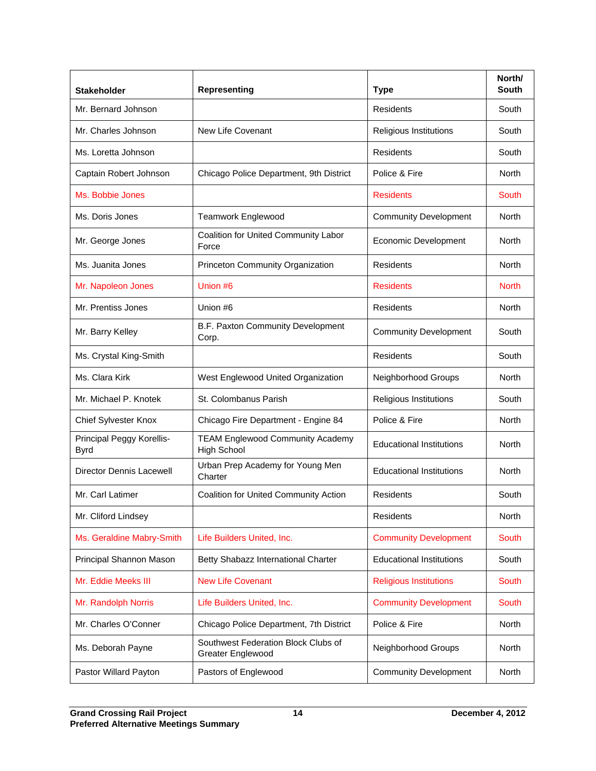| <b>Stakeholder</b>                       | <b>Representing</b>                                           | <b>Type</b>                     | North/<br><b>South</b> |
|------------------------------------------|---------------------------------------------------------------|---------------------------------|------------------------|
| Mr. Bernard Johnson                      |                                                               | Residents                       | South                  |
| Mr. Charles Johnson                      | New Life Covenant                                             | Religious Institutions          | South                  |
| Ms. Loretta Johnson                      |                                                               | <b>Residents</b>                | South                  |
| Captain Robert Johnson                   | Chicago Police Department, 9th District                       | Police & Fire                   | North                  |
| Ms. Bobbie Jones                         |                                                               | <b>Residents</b>                | South                  |
| Ms. Doris Jones                          | <b>Teamwork Englewood</b>                                     | <b>Community Development</b>    | North                  |
| Mr. George Jones                         | Coalition for United Community Labor<br>Force                 | <b>Economic Development</b>     | North                  |
| Ms. Juanita Jones                        | Princeton Community Organization                              | Residents                       | North                  |
| Mr. Napoleon Jones                       | Union #6                                                      | <b>Residents</b>                | <b>North</b>           |
| Mr. Prentiss Jones                       | Union #6                                                      | Residents                       | North                  |
| Mr. Barry Kelley                         | B.F. Paxton Community Development<br>Corp.                    | <b>Community Development</b>    | South                  |
| Ms. Crystal King-Smith                   |                                                               | <b>Residents</b>                | South                  |
| Ms. Clara Kirk                           | West Englewood United Organization                            | Neighborhood Groups             | North                  |
| Mr. Michael P. Knotek                    | St. Colombanus Parish                                         | Religious Institutions          | South                  |
| Chief Sylvester Knox                     | Chicago Fire Department - Engine 84                           | Police & Fire                   | North                  |
| Principal Peggy Korellis-<br><b>Byrd</b> | <b>TEAM Englewood Community Academy</b><br><b>High School</b> | <b>Educational Institutions</b> | North                  |
| Director Dennis Lacewell                 | Urban Prep Academy for Young Men<br>Charter                   | <b>Educational Institutions</b> | North                  |
| Mr. Carl Latimer                         | Coalition for United Community Action                         | Residents                       | South                  |
| Mr. Cliford Lindsey                      |                                                               | Residents                       | North                  |
| Ms. Geraldine Mabry-Smith                | Life Builders United, Inc.                                    | <b>Community Development</b>    | South                  |
| Principal Shannon Mason                  | Betty Shabazz International Charter                           | <b>Educational Institutions</b> | South                  |
| Mr. Eddie Meeks III                      | <b>New Life Covenant</b>                                      | <b>Religious Institutions</b>   | South                  |
| Mr. Randolph Norris                      | Life Builders United, Inc.                                    | <b>Community Development</b>    | South                  |
| Mr. Charles O'Conner                     | Chicago Police Department, 7th District                       | Police & Fire                   | North                  |
| Ms. Deborah Payne                        | Southwest Federation Block Clubs of<br>Greater Englewood      | Neighborhood Groups             | North                  |
| Pastor Willard Payton                    | Pastors of Englewood                                          | <b>Community Development</b>    | North                  |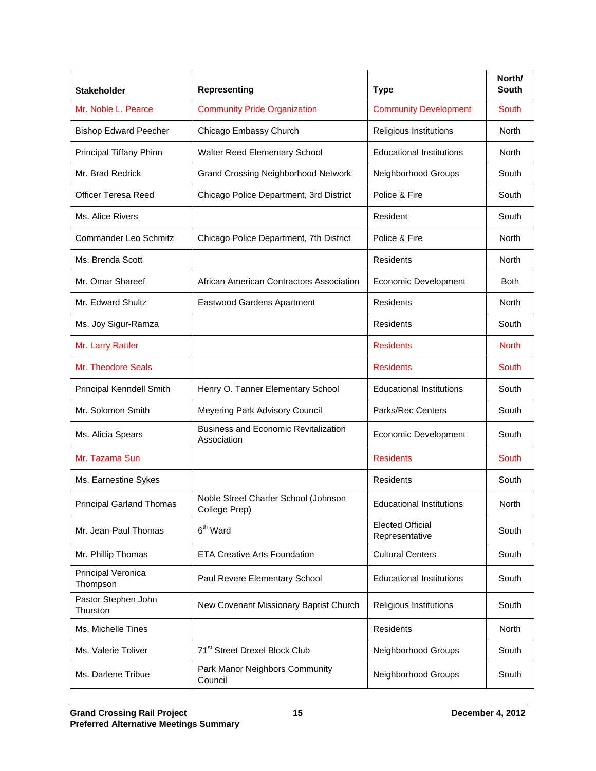| <b>Stakeholder</b>              | <b>Representing</b>                                        | <b>Type</b>                               | North/<br><b>South</b> |
|---------------------------------|------------------------------------------------------------|-------------------------------------------|------------------------|
| Mr. Noble L. Pearce             | <b>Community Pride Organization</b>                        | <b>Community Development</b>              | South                  |
| <b>Bishop Edward Peecher</b>    | Chicago Embassy Church                                     | Religious Institutions                    | North                  |
| Principal Tiffany Phinn         | Walter Reed Elementary School                              | <b>Educational Institutions</b>           | North                  |
| Mr. Brad Redrick                | <b>Grand Crossing Neighborhood Network</b>                 | Neighborhood Groups                       | South                  |
| <b>Officer Teresa Reed</b>      | Chicago Police Department, 3rd District                    | Police & Fire                             | South                  |
| Ms. Alice Rivers                |                                                            | Resident                                  | South                  |
| Commander Leo Schmitz           | Chicago Police Department, 7th District                    | Police & Fire                             | North                  |
| Ms. Brenda Scott                |                                                            | <b>Residents</b>                          | North                  |
| Mr. Omar Shareef                | African American Contractors Association                   | Economic Development                      | Both                   |
| Mr. Edward Shultz               | Eastwood Gardens Apartment                                 | <b>Residents</b>                          | North                  |
| Ms. Joy Sigur-Ramza             |                                                            | Residents                                 | South                  |
| Mr. Larry Rattler               |                                                            | <b>Residents</b>                          | <b>North</b>           |
| Mr. Theodore Seals              |                                                            | <b>Residents</b>                          | South                  |
| Principal Kenndell Smith        | Henry O. Tanner Elementary School                          | <b>Educational Institutions</b>           | South                  |
| Mr. Solomon Smith               | Meyering Park Advisory Council                             | Parks/Rec Centers                         | South                  |
| Ms. Alicia Spears               | <b>Business and Economic Revitalization</b><br>Association | <b>Economic Development</b>               | South                  |
| Mr. Tazama Sun                  |                                                            | <b>Residents</b>                          | South                  |
| Ms. Earnestine Sykes            |                                                            | Residents                                 | South                  |
| <b>Principal Garland Thomas</b> | Noble Street Charter School (Johnson<br>College Prep)      | <b>Educational Institutions</b>           | North                  |
| Mr. Jean-Paul Thomas            | 6 <sup>th</sup> Ward                                       | <b>Elected Official</b><br>Representative | South                  |
| Mr. Phillip Thomas              | <b>ETA Creative Arts Foundation</b>                        | <b>Cultural Centers</b>                   | South                  |
| Principal Veronica<br>Thompson  | Paul Revere Elementary School                              | <b>Educational Institutions</b>           | South                  |
| Pastor Stephen John<br>Thurston | New Covenant Missionary Baptist Church                     | Religious Institutions                    | South                  |
| Ms. Michelle Tines              |                                                            | Residents                                 | North                  |
| Ms. Valerie Toliver             | 71 <sup>st</sup> Street Drexel Block Club                  | Neighborhood Groups                       | South                  |
| Ms. Darlene Tribue              | Park Manor Neighbors Community<br>Council                  | Neighborhood Groups                       | South                  |